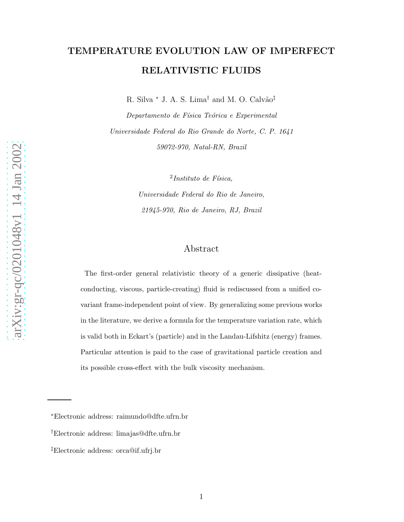# TEMPERATURE EVOLUTION LAW OF IMPERFECT RELATIVISTIC FLUIDS

R. Silva  $*$  J. A. S. Lima<sup>†</sup> and M. O. Calvão<sup>‡</sup>

Departamento de Física Teórica e Experimental Universidade Federal do Rio Grande do Norte, C. P. 1641 59072-970, Natal-RN, Brazil

> $2$ Instituto de Física, Universidade Federal do Rio de Janeiro, 21945-970, Rio de Janeiro, RJ, Brazil

# Abstract

The first-order general relativistic theory of a generic dissipative (heatconducting, viscous, particle-creating) fluid is rediscussed from a unified covariant frame-independent point of view. By generalizing some previous works in the literature, we derive a formula for the temperature variation rate, which is valid both in Eckart's (particle) and in the Landau-Lifshitz (energy) frames. Particular attention is paid to the case of gravitational particle creation and its possible cross-effect with the bulk viscosity mechanism.

<sup>∗</sup>Electronic address: raimundo@dfte.ufrn.br

<sup>†</sup>Electronic address: limajas@dfte.ufrn.br

<sup>‡</sup>Electronic address: orca@if.ufrj.br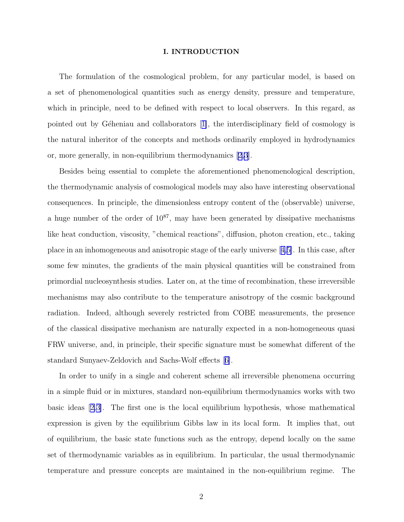### I. INTRODUCTION

The formulation of the cosmological problem, for any particular model, is based on a set of phenomenological quantities such as energy density, pressure and temperature, which in principle, need to be defined with respect to local observers. In this regard, as pointedout by Géheniau and collaborators  $[1]$  $[1]$ , the interdisciplinary field of cosmology is the natural inheritor of the concepts and methods ordinarily employed in hydrodynamics or, more generally, in non-equilibrium thermodynamics [\[2,3](#page-12-0)].

Besides being essential to complete the aforementioned phenomenological description, the thermodynamic analysis of cosmological models may also have interesting observational consequences. In principle, the dimensionless entropy content of the (observable) universe, a huge number of the order of  $10^{87}$ , may have been generated by dissipative mechanisms like heat conduction, viscosity, "chemical reactions", diffusion, photon creation, etc., taking place in an inhomogeneous and anisotropic stage of the early universe[[4,5\]](#page-12-0). In this case, after some few minutes, the gradients of the main physical quantities will be constrained from primordial nucleosynthesis studies. Later on, at the time of recombination, these irreversible mechanisms may also contribute to the temperature anisotropy of the cosmic background radiation. Indeed, although severely restricted from COBE measurements, the presence of the classical dissipative mechanism are naturally expected in a non-homogeneous quasi FRW universe, and, in principle, their specific signature must be somewhat different of the standard Sunyaev-Zeldovich and Sachs-Wolf effects[[6\]](#page-12-0).

In order to unify in a single and coherent scheme all irreversible phenomena occurring in a simple fluid or in mixtures, standard non-equilibrium thermodynamics works with two basic ideas[[2,3\]](#page-12-0). The first one is the local equilibrium hypothesis, whose mathematical expression is given by the equilibrium Gibbs law in its local form. It implies that, out of equilibrium, the basic state functions such as the entropy, depend locally on the same set of thermodynamic variables as in equilibrium. In particular, the usual thermodynamic temperature and pressure concepts are maintained in the non-equilibrium regime. The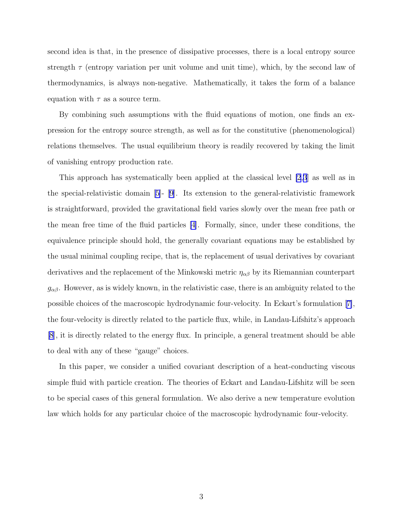second idea is that, in the presence of dissipative processes, there is a local entropy source strength  $\tau$  (entropy variation per unit volume and unit time), which, by the second law of thermodynamics, is always non-negative. Mathematically, it takes the form of a balance equation with  $\tau$  as a source term.

By combining such assumptions with the fluid equations of motion, one finds an expression for the entropy source strength, as well as for the constitutive (phenomenological) relations themselves. The usual equilibrium theory is readily recovered by taking the limit of vanishing entropy production rate.

This approach has systematically been applied at the classical level [\[2](#page-12-0),[3](#page-12-0)] as well as in the special-relativistic domain[[5\]](#page-12-0)- [\[9](#page-12-0)]. Its extension to the general-relativistic framework is straightforward, provided the gravitational field varies slowly over the mean free path or the mean free time of the fluid particles [\[4](#page-12-0)]. Formally, since, under these conditions, the equivalence principle should hold, the generally covariant equations may be established by the usual minimal coupling recipe, that is, the replacement of usual derivatives by covariant derivatives and the replacement of the Minkowski metric  $\eta_{\alpha\beta}$  by its Riemannian counterpart  $g_{\alpha\beta}$ . However, as is widely known, in the relativistic case, there is an ambiguity related to the possible choices of the macroscopic hydrodynamic four-velocity. In Eckart's formulation[[7\]](#page-12-0), the four-velocity is directly related to the particle flux, while, in Landau-Lifshitz's approach [\[8](#page-12-0)], it is directly related to the energy flux. In principle, a general treatment should be able to deal with any of these "gauge" choices.

In this paper, we consider a unified covariant description of a heat-conducting viscous simple fluid with particle creation. The theories of Eckart and Landau-Lifshitz will be seen to be special cases of this general formulation. We also derive a new temperature evolution law which holds for any particular choice of the macroscopic hydrodynamic four-velocity.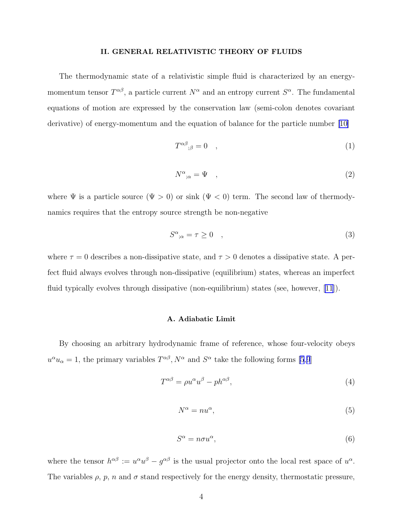#### II. GENERAL RELATIVISTIC THEORY OF FLUIDS

<span id="page-3-0"></span>The thermodynamic state of a relativistic simple fluid is characterized by an energymomentum tensor  $T^{\alpha\beta}$ , a particle current  $N^{\alpha}$  and an entropy current  $S^{\alpha}$ . The fundamental equations of motion are expressed by the conservation law (semi-colon denotes covariant derivative) of energy-momentum and the equation of balance for the particle number[[10\]](#page-12-0)

$$
T^{\alpha\beta}{}_{;\beta} = 0 \quad , \tag{1}
$$

$$
N^{\alpha}{}_{;\alpha} = \Psi \quad , \tag{2}
$$

where  $\Psi$  is a particle source  $(\Psi > 0)$  or sink  $(\Psi < 0)$  term. The second law of thermodynamics requires that the entropy source strength be non-negative

$$
S^{\alpha}{}_{;\alpha} = \tau \geq 0 \quad , \tag{3}
$$

where  $\tau = 0$  describes a non-dissipative state, and  $\tau > 0$  denotes a dissipative state. A perfect fluid always evolves through non-dissipative (equilibrium) states, whereas an imperfect fluid typically evolves through dissipative (non-equilibrium) states (see, however, [\[11\]](#page-12-0)).

## A. Adiabatic Limit

By choosing an arbitrary hydrodynamic frame of reference, whose four-velocity obeys  $u^{\alpha}u_{\alpha} = 1$ , the primary variables  $T^{\alpha\beta}$ ,  $N^{\alpha}$  and  $S^{\alpha}$  take the following forms [\[5](#page-12-0),[9](#page-12-0)]

$$
T^{\alpha\beta} = \rho u^{\alpha} u^{\beta} - p h^{\alpha\beta},\tag{4}
$$

$$
N^{\alpha} = nu^{\alpha},\tag{5}
$$

$$
S^{\alpha} = n\sigma u^{\alpha},\tag{6}
$$

where the tensor  $h^{\alpha\beta} := u^{\alpha}u^{\beta} - g^{\alpha\beta}$  is the usual projector onto the local rest space of  $u^{\alpha}$ . The variables  $\rho$ ,  $p$ ,  $n$  and  $\sigma$  stand respectively for the energy density, thermostatic pressure,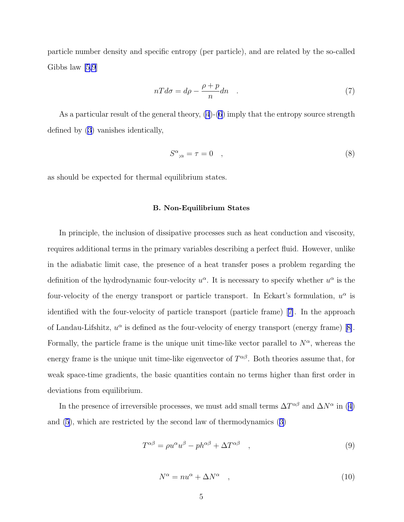<span id="page-4-0"></span>particle number density and specific entropy (per particle), and are related by the so-called Gibbs law [\[5,9](#page-12-0)]

$$
nT d\sigma = d\rho - \frac{\rho + p}{n} dn \qquad (7)
$$

As a particular result of the general theory, [\(4](#page-3-0))-[\(6](#page-3-0)) imply that the entropy source strength defined by [\(3\)](#page-3-0) vanishes identically,

$$
S^{\alpha}{}_{;\alpha} = \tau = 0 \quad , \tag{8}
$$

as should be expected for thermal equilibrium states.

#### B. Non-Equilibrium States

In principle, the inclusion of dissipative processes such as heat conduction and viscosity, requires additional terms in the primary variables describing a perfect fluid. However, unlike in the adiabatic limit case, the presence of a heat transfer poses a problem regarding the definition of the hydrodynamic four-velocity  $u^{\alpha}$ . It is necessary to specify whether  $u^{\alpha}$  is the four-velocity of the energy transport or particle transport. In Eckart's formulation,  $u^{\alpha}$  is identified with the four-velocity of particle transport (particle frame)[[7\]](#page-12-0). In the approach ofLandau-Lifshitz,  $u^{\alpha}$  is defined as the four-velocity of energy transport (energy frame) [[8\]](#page-12-0). Formally, the particle frame is the unique unit time-like vector parallel to  $N^{\alpha}$ , whereas the energy frame is the unique unit time-like eigenvector of  $T^{\alpha\beta}$ . Both theories assume that, for weak space-time gradients, the basic quantities contain no terms higher than first order in deviations from equilibrium.

Inthe presence of irreversible processes, we must add small terms  $\Delta T^{\alpha\beta}$  and  $\Delta N^{\alpha}$  in ([4\)](#page-3-0) and [\(5](#page-3-0)), which are restricted by the second law of thermodynamics ([3\)](#page-3-0)

$$
T^{\alpha\beta} = \rho u^{\alpha} u^{\beta} - p h^{\alpha\beta} + \Delta T^{\alpha\beta} \quad , \tag{9}
$$

$$
N^{\alpha} = nu^{\alpha} + \Delta N^{\alpha} \quad , \tag{10}
$$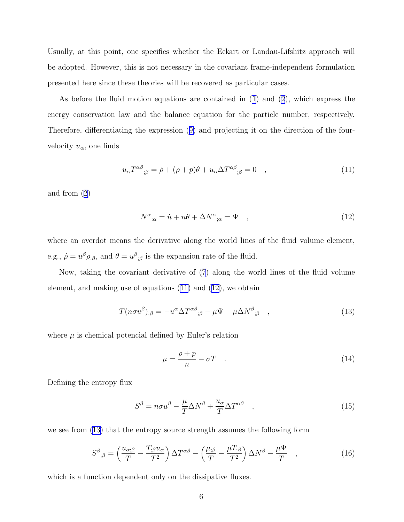<span id="page-5-0"></span>Usually, at this point, one specifies whether the Eckart or Landau-Lifshitz approach will be adopted. However, this is not necessary in the covariant frame-independent formulation presented here since these theories will be recovered as particular cases.

As before the fluid motion equations are contained in [\(1](#page-3-0)) and [\(2](#page-3-0)), which express the energy conservation law and the balance equation for the particle number, respectively. Therefore, differentiating the expression([9\)](#page-4-0) and projecting it on the direction of the fourvelocity  $u_{\alpha}$ , one finds

$$
u_{\alpha}T^{\alpha\beta}{}_{;\beta} = \dot{\rho} + (\rho + p)\theta + u_{\alpha}\Delta T^{\alpha\beta}{}_{;\beta} = 0 \quad , \tag{11}
$$

and from([2\)](#page-3-0)

$$
N^{\alpha}{}_{;\alpha} = \dot{n} + n\theta + \Delta N^{\alpha}{}_{;\alpha} = \Psi \quad , \tag{12}
$$

where an overdot means the derivative along the world lines of the fluid volume element, e.g.,  $\dot{\rho} = u^{\beta} \rho_{;\beta}$ , and  $\theta = u^{\beta}{}_{;\beta}$  is the expansion rate of the fluid.

Now, taking the covariant derivative of [\(7](#page-4-0)) along the world lines of the fluid volume element, and making use of equations (11) and (12), we obtain

$$
T(n\sigma u^{\beta})_{;\beta} = -u^{\alpha} \Delta T^{\alpha\beta}_{;\beta} - \mu \Psi + \mu \Delta N^{\beta}_{;\beta} , \qquad (13)
$$

where  $\mu$  is chemical potencial defined by Euler's relation

$$
\mu = \frac{\rho + p}{n} - \sigma T \quad . \tag{14}
$$

Defining the entropy flux

$$
S^{\beta} = n\sigma u^{\beta} - \frac{\mu}{T} \Delta N^{\beta} + \frac{u_{\alpha}}{T} \Delta T^{\alpha \beta} \quad , \tag{15}
$$

we see from (13) that the entropy source strength assumes the following form

$$
S^{\beta}{}_{;\beta} = \left(\frac{u_{\alpha;\beta}}{T} - \frac{T_{;\beta}u_{\alpha}}{T^2}\right)\Delta T^{\alpha\beta} - \left(\frac{\mu_{;\beta}}{T} - \frac{\mu T_{;\beta}}{T^2}\right)\Delta N^{\beta} - \frac{\mu \Psi}{T} \quad , \tag{16}
$$

which is a function dependent only on the dissipative fluxes.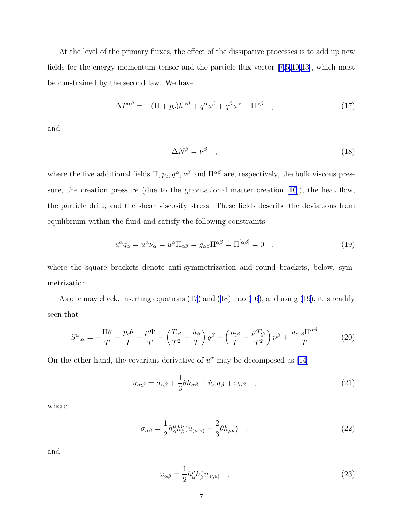<span id="page-6-0"></span>At the level of the primary fluxes, the effect of the dissipative processes is to add up new fields for the energy-momentum tensor and the particle flux vector[[7,5,10,13\]](#page-12-0), which must be constrained by the second law. We have

$$
\Delta T^{\alpha\beta} = -(\Pi + p_c)h^{\alpha\beta} + q^{\alpha}u^{\beta} + q^{\beta}u^{\alpha} + \Pi^{\alpha\beta} \quad , \tag{17}
$$

and

$$
\Delta N^{\beta} = \nu^{\beta} \quad , \tag{18}
$$

where the five additional fields  $\Pi, p_c, q^{\alpha}, \nu^{\beta}$  and  $\Pi^{\alpha\beta}$  are, respectively, the bulk viscous pressure, the creation pressure (due to the gravitational matter creation [\[10\]](#page-12-0)), the heat flow, the particle drift, and the shear viscosity stress. These fields describe the deviations from equilibrium within the fluid and satisfy the following constraints

$$
u^{\alpha}q_{\alpha} = u^{\alpha}\nu_{\alpha} = u^{\alpha}\Pi_{\alpha\beta} = g_{\alpha\beta}\Pi^{\alpha\beta} = \Pi^{[\alpha\beta]} = 0 \quad , \tag{19}
$$

where the square brackets denote anti-symmetrization and round brackets, below, symmetrization.

As one may check, inserting equations (17) and (18) into [\(16](#page-5-0)), and using (19), it is readily seen that

$$
S^{\alpha}{}_{;\alpha} = -\frac{\Pi\theta}{T} - \frac{p_c\theta}{T} - \frac{\mu\Psi}{T} - \left(\frac{T_{;\beta}}{T^2} - \frac{\dot{u}_{\beta}}{T}\right)q^{\beta} - \left(\frac{\mu_{;\beta}}{T} - \frac{\mu T_{;\beta}}{T^2}\right)\nu^{\beta} + \frac{u_{\alpha;\beta}\Pi^{\alpha\beta}}{T}
$$
(20)

On the other hand, the covariant derivative of  $u^{\alpha}$  may be decomposed as [\[14\]](#page-12-0)

$$
u_{\alpha;\beta} = \sigma_{\alpha\beta} + \frac{1}{3}\theta h_{\alpha\beta} + \dot{u}_{\alpha}u_{\beta} + \omega_{\alpha\beta} \quad , \tag{21}
$$

where

$$
\sigma_{\alpha\beta} = \frac{1}{2} h^{\mu}_{\alpha} h^{\nu}_{\beta} (u_{(\mu;\nu)} - \frac{2}{3} \theta h_{\mu\nu}) \quad , \tag{22}
$$

and

$$
\omega_{\alpha\beta} = \frac{1}{2} h^{\mu}_{\alpha} h^{\nu}_{\beta} u_{[\nu,\mu]} \quad , \tag{23}
$$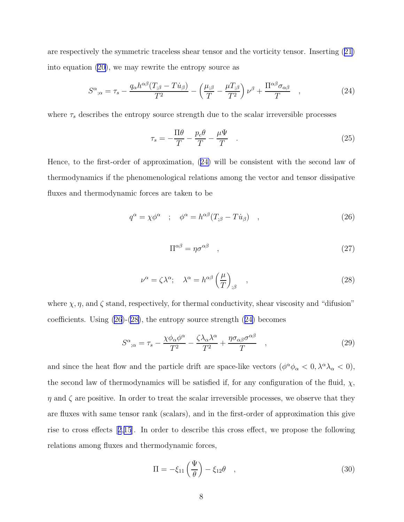<span id="page-7-0"></span>are respectively the symmetric traceless shear tensor and the vorticity tensor. Inserting([21\)](#page-6-0) into equation [\(20\)](#page-6-0), we may rewrite the entropy source as

$$
S^{\alpha}{}_{;\alpha} = \tau_s - \frac{q_{\alpha}h^{\alpha\beta}(T_{;\beta} - T\dot{u}_{\beta})}{T^2} - \left(\frac{\mu_{;\beta}}{T} - \frac{\mu T_{;\beta}}{T^2}\right)\nu^{\beta} + \frac{\Pi^{\alpha\beta}\sigma_{\alpha\beta}}{T} \quad , \tag{24}
$$

where  $\tau_s$  describes the entropy source strength due to the scalar irreversible processes

$$
\tau_s = -\frac{\Pi \theta}{T} - \frac{p_c \theta}{T} - \frac{\mu \Psi}{T} \quad . \tag{25}
$$

Hence, to the first-order of approximation, (24) will be consistent with the second law of thermodynamics if the phenomenological relations among the vector and tensor dissipative fluxes and thermodynamic forces are taken to be

$$
q^{\alpha} = \chi \phi^{\alpha} \quad ; \quad \phi^{\alpha} = h^{\alpha \beta} (T_{;\beta} - T \dot{u}_{\beta}) \quad , \tag{26}
$$

$$
\Pi^{\alpha\beta} = \eta \sigma^{\alpha\beta} \quad , \tag{27}
$$

$$
\nu^{\alpha} = \zeta \lambda^{\alpha}; \quad \lambda^{\alpha} = h^{\alpha \beta} \left(\frac{\mu}{T}\right)_{;\beta} \quad , \tag{28}
$$

where  $\chi$ ,  $\eta$ , and  $\zeta$  stand, respectively, for thermal conductivity, shear viscosity and "difusion" coefficients. Using  $(26)-(28)$ , the entropy source strength  $(24)$  becomes

$$
S^{\alpha}{}_{;\alpha} = \tau_s - \frac{\chi \phi_\alpha \phi^\alpha}{T^2} - \frac{\zeta \lambda_\alpha \lambda^\alpha}{T^2} + \frac{\eta \sigma_{\alpha\beta} \sigma^{\alpha\beta}}{T} \quad , \tag{29}
$$

and since the heat flow and the particle drift are space-like vectors  $(\phi^{\alpha}\phi_{\alpha} < 0, \lambda^{\alpha}\lambda_{\alpha} < 0)$ , the second law of thermodynamics will be satisfied if, for any configuration of the fluid,  $\chi$ ,  $\eta$  and  $\zeta$  are positive. In order to treat the scalar irreversible processes, we observe that they are fluxes with same tensor rank (scalars), and in the first-order of approximation this give rise to cross effects[[2](#page-12-0),[15](#page-12-0)]. In order to describe this cross effect, we propose the following relations among fluxes and thermodynamic forces,

$$
\Pi = -\xi_{11}\left(\frac{\Psi}{\theta}\right) - \xi_{12}\theta \quad , \tag{30}
$$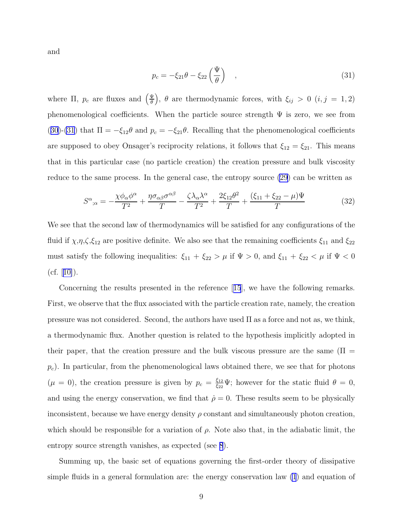<span id="page-8-0"></span>and

$$
p_c = -\xi_{21}\theta - \xi_{22}\left(\frac{\Psi}{\theta}\right) \quad , \tag{31}
$$

where  $\Pi$ ,  $p_c$  are fluxes and  $\left(\frac{\Psi}{\theta}\right)$  $\left(\frac{\Psi}{\theta}\right)$ ,  $\theta$  are thermodynamic forces, with  $\xi_{ij} > 0$   $(i, j = 1, 2)$ phenomenological coefficients. When the particle source strength  $\Psi$  is zero, we see from ([30](#page-7-0))-(31) that  $\Pi = -\xi_{12}\theta$  and  $p_c = -\xi_{21}\theta$ . Recalling that the phenomenological coefficients are supposed to obey Onsager's reciprocity relations, it follows that  $\xi_{12} = \xi_{21}$ . This means that in this particular case (no particle creation) the creation pressure and bulk viscosity reduce to the same process. In the general case, the entropy source [\(29](#page-7-0)) can be written as

$$
S^{\alpha}{}_{;\alpha} = -\frac{\chi \phi_{\alpha} \phi^{\alpha}}{T^2} + \frac{\eta \sigma_{\alpha\beta} \sigma^{\alpha\beta}}{T} - \frac{\zeta \lambda_{\alpha} \lambda^{\alpha}}{T^2} + \frac{2\xi_{12}\theta^2}{T} + \frac{(\xi_{11} + \xi_{22} - \mu)\Psi}{T}
$$
(32)

We see that the second law of thermodynamics will be satisfied for any configurations of the fluid if  $\chi$ , $\eta$ , $\zeta$ , $\xi_{12}$  are positive definite. We also see that the remaining coefficients  $\xi_{11}$  and  $\xi_{22}$ must satisfy the following inequalities:  $\xi_{11} + \xi_{22} > \mu$  if  $\Psi > 0$ , and  $\xi_{11} + \xi_{22} < \mu$  if  $\Psi < 0$  $(cf. [10]).$  $(cf. [10]).$  $(cf. [10]).$  $(cf. [10]).$  $(cf. [10]).$ 

Concerning the results presented in the reference[[15](#page-12-0)], we have the following remarks. First, we observe that the flux associated with the particle creation rate, namely, the creation pressure was not considered. Second, the authors have used  $\Pi$  as a force and not as, we think, a thermodynamic flux. Another question is related to the hypothesis implicitly adopted in their paper, that the creation pressure and the bulk viscous pressure are the same ( $\Pi$  =  $p_c$ ). In particular, from the phenomenological laws obtained there, we see that for photons  $(\mu = 0)$ , the creation pressure is given by  $p_c = \frac{\xi_{12}}{\xi_{22}}$  $\frac{\xi_{12}}{\xi_{22}}\Psi$ ; however for the static fluid  $\theta=0$ , and using the energy conservation, we find that  $\dot{\rho} = 0$ . These results seem to be physically inconsistent, because we have energy density  $\rho$  constant and simultaneously photon creation, which should be responsible for a variation of  $\rho$ . Note also that, in the adiabatic limit, the entropy source strength vanishes, as expected (see [8](#page-4-0)).

Summing up, the basic set of equations governing the first-order theory of dissipative simple fluids in a general formulation are: the energy conservation law [\(1](#page-3-0)) and equation of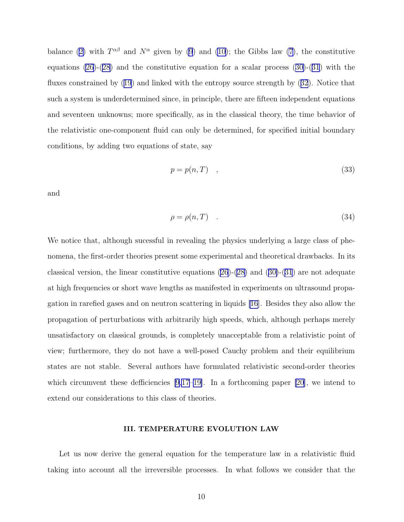balance([2\)](#page-3-0) with  $T^{\alpha\beta}$  and  $N^{\alpha}$  given by [\(9](#page-4-0)) and [\(10](#page-4-0)); the Gibbs law [\(7](#page-4-0)), the constitutive equations $(26)-(28)$  $(26)-(28)$  and the constitutive equation for a scalar process  $(30)-(31)$  $(30)-(31)$  $(30)-(31)$  $(30)-(31)$  $(30)-(31)$  with the fluxes constrained by([19](#page-6-0)) and linked with the entropy source strength by([32](#page-8-0)). Notice that such a system is underdetermined since, in principle, there are fifteen independent equations and seventeen unknowns; more specifically, as in the classical theory, the time behavior of the relativistic one-component fluid can only be determined, for specified initial boundary conditions, by adding two equations of state, say

$$
p = p(n, T) \quad , \tag{33}
$$

and

$$
\rho = \rho(n, T) \tag{34}
$$

We notice that, although sucessful in revealing the physics underlying a large class of phenomena, the first-order theories present some experimental and theoretical drawbacks. In its classical version, the linear constitutive equations  $(26)-(28)$  $(26)-(28)$  and  $(30)-(31)$  $(30)-(31)$  $(30)-(31)$  $(30)-(31)$  $(30)-(31)$  are not adequate at high frequencies or short wave lengths as manifested in experiments on ultrasound propagation in rarefied gases and on neutron scattering in liquids [\[16](#page-13-0)]. Besides they also allow the propagation of perturbations with arbitrarily high speeds, which, although perhaps merely unsatisfactory on classical grounds, is completely unacceptable from a relativistic point of view; furthermore, they do not have a well-posed Cauchy problem and their equilibrium states are not stable. Several authors have formulated relativistic second-order theories which circumvent these defficiencies  $[9,17-19]$ . In a forthcoming paper  $[20]$ , we intend to extend our considerations to this class of theories.

## III. TEMPERATURE EVOLUTION LAW

Let us now derive the general equation for the temperature law in a relativistic fluid taking into account all the irreversible processes. In what follows we consider that the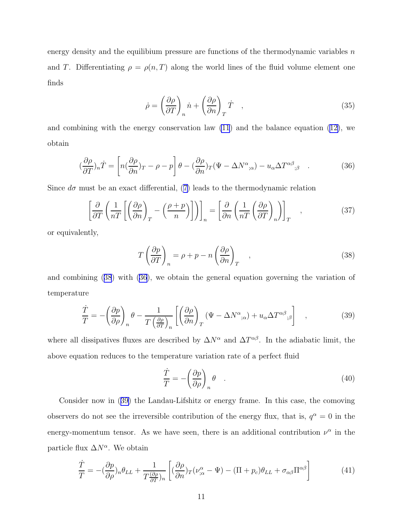<span id="page-10-0"></span>energy density and the equilibium pressure are functions of the thermodynamic variables  $n$ and T. Differentiating  $\rho = \rho(n, T)$  along the world lines of the fluid volume element one finds

$$
\dot{\rho} = \left(\frac{\partial \rho}{\partial T}\right)_n \dot{n} + \left(\frac{\partial \rho}{\partial n}\right)_T \dot{T} \quad , \tag{35}
$$

and combining with the energy conservation law  $(11)$  and the balance equation  $(12)$ , we obtain

$$
\left(\frac{\partial \rho}{\partial T}\right)_n \dot{T} = \left[ n\left(\frac{\partial \rho}{\partial n}\right)_T - \rho - p \right] \theta - \left(\frac{\partial \rho}{\partial n}\right)_T (\Psi - \Delta N^{\alpha}_{;\alpha}) - u_{\alpha} \Delta T^{\alpha \beta}_{;\beta} \quad . \tag{36}
$$

Since  $d\sigma$  must be an exact differential, [\(7\)](#page-4-0) leads to the thermodynamic relation

$$
\left[\frac{\partial}{\partial T}\left(\frac{1}{nT}\left[\left(\frac{\partial\rho}{\partial n}\right)_T - \left(\frac{\rho+p}{n}\right)_T\right]\right)\right]_n = \left[\frac{\partial}{\partial n}\left(\frac{1}{nT}\left(\frac{\partial\rho}{\partial T}\right)_n\right)\right]_T\tag{37}
$$

or equivalently,

$$
T\left(\frac{\partial p}{\partial T}\right)_n = \rho + p - n\left(\frac{\partial \rho}{\partial n}\right)_T \quad , \tag{38}
$$

and combining (38) with (36), we obtain the general equation governing the variation of temperature

$$
\frac{\dot{T}}{T} = -\left(\frac{\partial p}{\partial \rho}\right)_n \theta - \frac{1}{T\left(\frac{\partial \rho}{\partial T}\right)_n} \left[ \left(\frac{\partial \rho}{\partial n}\right)_T (\Psi - \Delta N^{\alpha}_{;\alpha}) + u_\alpha \Delta T^{\alpha \beta}_{;\beta} \right], \qquad (39)
$$

where all dissipatives fluxes are described by  $\Delta N^{\alpha}$  and  $\Delta T^{\alpha\beta}$ . In the adiabatic limit, the above equation reduces to the temperature variation rate of a perfect fluid

$$
\frac{\dot{T}}{T} = -\left(\frac{\partial p}{\partial \rho}\right)_n \theta \quad . \tag{40}
$$

Consider now in (39) the Landau-Lifshitz or energy frame. In this case, the comoving observers do not see the irreversible contribution of the energy flux, that is,  $q^{\alpha} = 0$  in the energy-momentum tensor. As we have seen, there is an additional contribution  $\nu^{\alpha}$  in the particle flux  $\Delta N^{\alpha}$ . We obtain

$$
\frac{\dot{T}}{T} = -(\frac{\partial p}{\partial \rho})_n \theta_{LL} + \frac{1}{T \frac{(\partial \rho}{\partial T})_n} \left[ (\frac{\partial \rho}{\partial n})_T (\nu_{;\alpha}^{\alpha} - \Psi) - (\Pi + p_c) \theta_{LL} + \sigma_{\alpha\beta} \Pi^{\alpha\beta} \right]
$$
(41)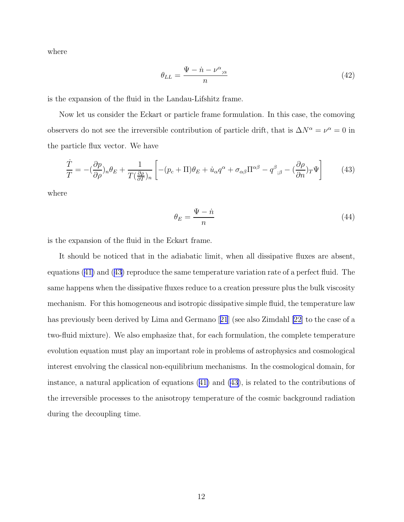where

$$
\theta_{LL} = \frac{\Psi - \dot{n} - \nu^{\alpha}_{;\alpha}}{n} \tag{42}
$$

is the expansion of the fluid in the Landau-Lifshitz frame.

Now let us consider the Eckart or particle frame formulation. In this case, the comoving observers do not see the irreversible contribution of particle drift, that is  $\Delta N^{\alpha} = \nu^{\alpha} = 0$  in the particle flux vector. We have

$$
\frac{\dot{T}}{T} = -(\frac{\partial p}{\partial \rho})_n \theta_E + \frac{1}{T(\frac{\partial \rho}{\partial T})_n} \left[ -(p_c + \Pi)\theta_E + \dot{u}_\alpha q^\alpha + \sigma_{\alpha\beta} \Pi^{\alpha\beta} - q^\beta_{\;\;;\beta} - (\frac{\partial \rho}{\partial n})_T \Psi \right] \tag{43}
$$

where

$$
\theta_E = \frac{\Psi - \dot{n}}{n} \tag{44}
$$

is the expansion of the fluid in the Eckart frame.

It should be noticed that in the adiabatic limit, when all dissipative fluxes are absent, equations([41\)](#page-10-0) and (43) reproduce the same temperature variation rate of a perfect fluid. The same happens when the dissipative fluxes reduce to a creation pressure plus the bulk viscosity mechanism. For this homogeneous and isotropic dissipative simple fluid, the temperature law has previously been derived by Lima and Germano[[21](#page-13-0)] (see also Zimdahl [\[22](#page-13-0)] to the case of a two-fluid mixture). We also emphasize that, for each formulation, the complete temperature evolution equation must play an important role in problems of astrophysics and cosmological interest envolving the classical non-equilibrium mechanisms. In the cosmological domain, for instance, a natural application of equations([41\)](#page-10-0) and (43), is related to the contributions of the irreversible processes to the anisotropy temperature of the cosmic background radiation during the decoupling time.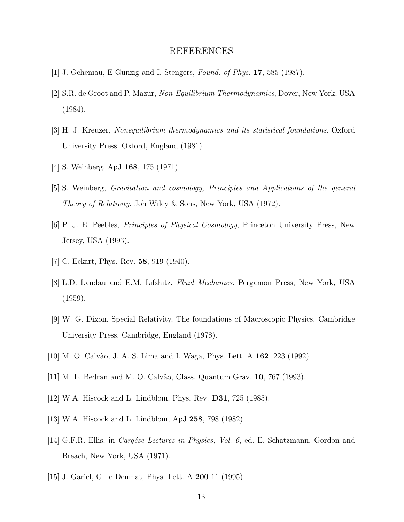# REFERENCES

- <span id="page-12-0"></span>[1] J. Geheniau, E Gunzig and I. Stengers, Found. of Phys. 17, 585 (1987).
- [2] S.R. de Groot and P. Mazur, Non-Equilibrium Thermodynamics, Dover, New York, USA (1984).
- [3] H. J. Kreuzer, Nonequilibrium thermodynamics and its statistical foundations. Oxford University Press, Oxford, England (1981).
- [4] S. Weinberg, ApJ 168, 175 (1971).
- [5] S. Weinberg, Gravitation and cosmology, Principles and Applications of the general Theory of Relativity. Joh Wiley & Sons, New York, USA (1972).
- [6] P. J. E. Peebles, Principles of Physical Cosmology, Princeton University Press, New Jersey, USA (1993).
- [7] C. Eckart, Phys. Rev. **58**, 919 (1940).
- [8] L.D. Landau and E.M. Lifshitz. Fluid Mechanics. Pergamon Press, New York, USA (1959).
- [9] W. G. Dixon. Special Relativity, The foundations of Macroscopic Physics, Cambridge University Press, Cambridge, England (1978).
- [10] M. O. Calv˜ao, J. A. S. Lima and I. Waga, Phys. Lett. A 162, 223 (1992).
- [11] M. L. Bedran and M. O. Calv˜ao, Class. Quantum Grav. 10, 767 (1993).
- [12] W.A. Hiscock and L. Lindblom, Phys. Rev. D31, 725 (1985).
- [13] W.A. Hiscock and L. Lindblom, ApJ 258, 798 (1982).
- [14] G.F.R. Ellis, in *Cargése Lectures in Physics, Vol. 6*, ed. E. Schatzmann, Gordon and Breach, New York, USA (1971).
- [15] J. Gariel, G. le Denmat, Phys. Lett. A 200 11 (1995).